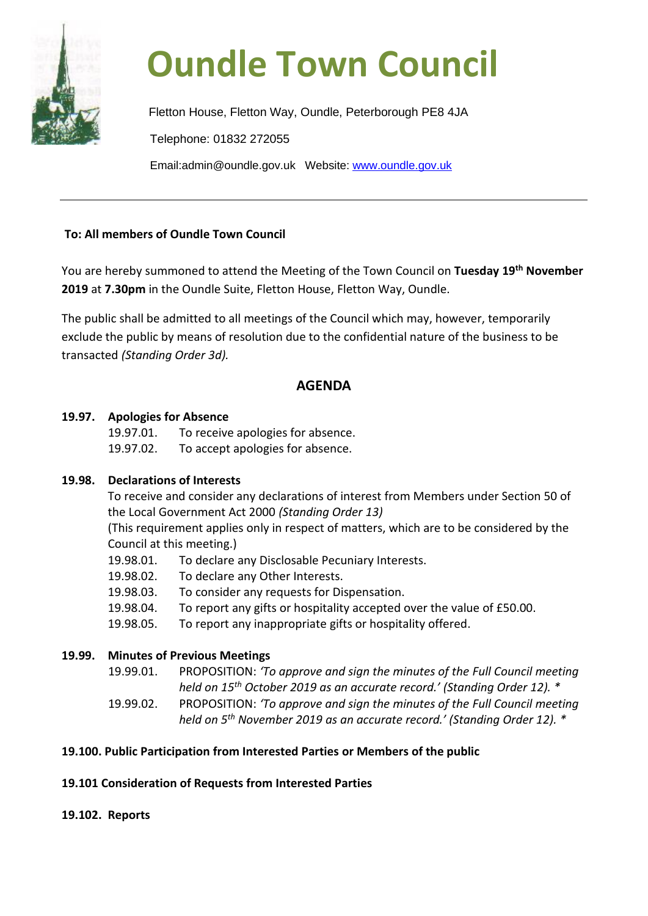

# **Oundle Town Council**

Fletton House, Fletton Way, Oundle, Peterborough PE8 4JA Telephone: 01832 272055 Email:admin@oundle.gov.uk Website: [www.oundle.gov.uk](http://www.oundle.gov.uk/)

# **To: All members of Oundle Town Council**

You are hereby summoned to attend the Meeting of the Town Council on **Tuesday 19th November 2019** at **7.30pm** in the Oundle Suite, Fletton House, Fletton Way, Oundle.

The public shall be admitted to all meetings of the Council which may, however, temporarily exclude the public by means of resolution due to the confidential nature of the business to be transacted *(Standing Order 3d).*

# **AGENDA**

# **19.97. Apologies for Absence**

19.97.01. To receive apologies for absence.

19.97.02. To accept apologies for absence.

# **19.98. Declarations of Interests**

To receive and consider any declarations of interest from Members under Section 50 of the Local Government Act 2000 *(Standing Order 13)*

(This requirement applies only in respect of matters, which are to be considered by the Council at this meeting.)

- 19.98.01. To declare any Disclosable Pecuniary Interests.
- 19.98.02. To declare any Other Interests.
- 19.98.03. To consider any requests for Dispensation.
- 19.98.04. To report any gifts or hospitality accepted over the value of £50.00.
- 19.98.05. To report any inappropriate gifts or hospitality offered.

# **19.99. Minutes of Previous Meetings**

- 19.99.01. PROPOSITION: *'To approve and sign the minutes of the Full Council meeting held on 15th October 2019 as an accurate record.' (Standing Order 12). \**
- 19.99.02. PROPOSITION: *'To approve and sign the minutes of the Full Council meeting held on 5th November 2019 as an accurate record.' (Standing Order 12). \**

# **19.100. Public Participation from Interested Parties or Members of the public**

# **19.101 Consideration of Requests from Interested Parties**

# **19.102. Reports**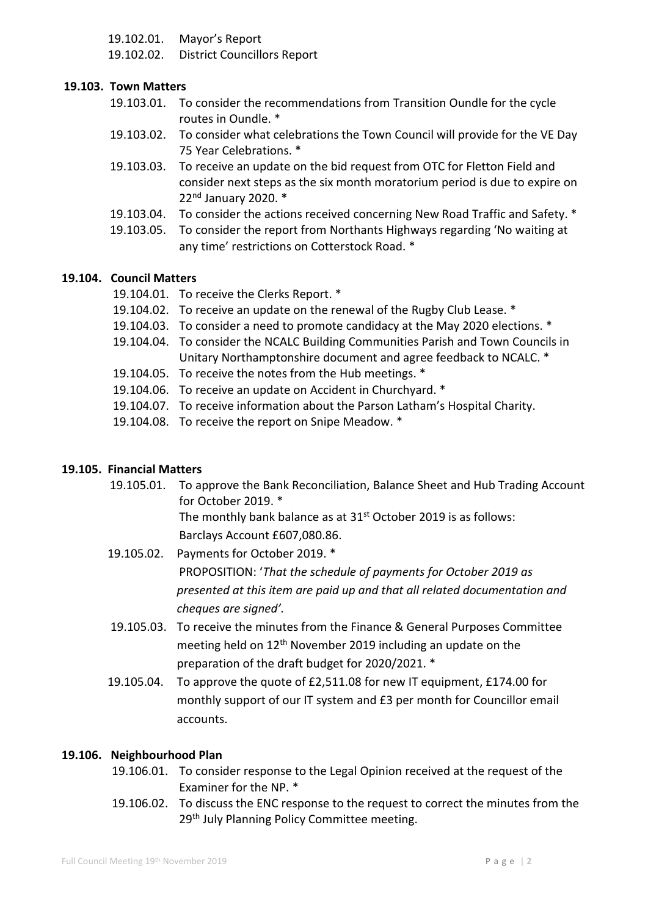19.102.01. Mayor's Report

19.102.02. District Councillors Report

## **19.103. Town Matters**

- 19.103.01. To consider the recommendations from Transition Oundle for the cycle routes in Oundle. \*
- 19.103.02. To consider what celebrations the Town Council will provide for the VE Day 75 Year Celebrations. \*
- 19.103.03. To receive an update on the bid request from OTC for Fletton Field and consider next steps as the six month moratorium period is due to expire on 22nd January 2020. \*
- 19.103.04. To consider the actions received concerning New Road Traffic and Safety. \*
- 19.103.05. To consider the report from Northants Highways regarding 'No waiting at any time' restrictions on Cotterstock Road. \*

#### **19.104. Council Matters**

- 19.104.01. To receive the Clerks Report. \*
- 19.104.02. To receive an update on the renewal of the Rugby Club Lease. \*
- 19.104.03. To consider a need to promote candidacy at the May 2020 elections. \*
- 19.104.04. To consider the NCALC Building Communities Parish and Town Councils in Unitary Northamptonshire document and agree feedback to NCALC. \*
- 19.104.05. To receive the notes from the Hub meetings. \*
- 19.104.06. To receive an update on Accident in Churchyard. \*
- 19.104.07. To receive information about the Parson Latham's Hospital Charity.
- 19.104.08. To receive the report on Snipe Meadow. \*

## **19.105. Financial Matters**

19.105.01. To approve the Bank Reconciliation, Balance Sheet and Hub Trading Account for October 2019. \*

> The monthly bank balance as at 31<sup>st</sup> October 2019 is as follows: Barclays Account £607,080.86.

- 19.105.02. Payments for October 2019. \* PROPOSITION: '*That the schedule of payments for October 2019 as presented at this item are paid up and that all related documentation and cheques are signed'.*
- 19.105.03. To receive the minutes from the Finance & General Purposes Committee meeting held on 12<sup>th</sup> November 2019 including an update on the preparation of the draft budget for 2020/2021. \*
- 19.105.04. To approve the quote of £2,511.08 for new IT equipment, £174.00 for monthly support of our IT system and £3 per month for Councillor email accounts.

#### **19.106. Neighbourhood Plan**

- 19.106.01. To consider response to the Legal Opinion received at the request of the Examiner for the NP. \*
- 19.106.02. To discuss the ENC response to the request to correct the minutes from the 29<sup>th</sup> July Planning Policy Committee meeting.